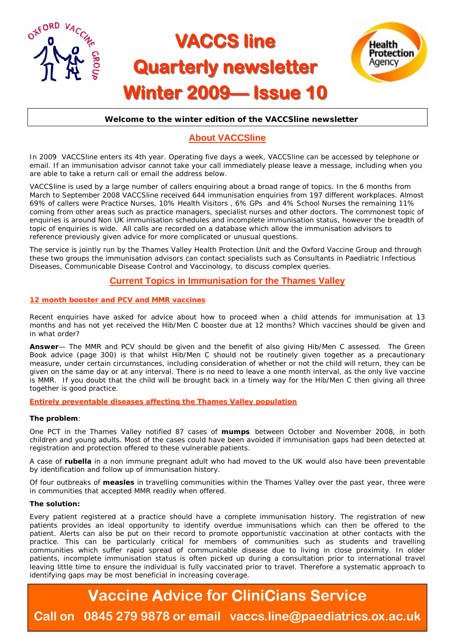

# **VACCS line Quarterly newsletter Winter 2009 Winter 2009— Issue 10 Issue 10**



#### **Welcome to the winter edition of the VACCSline newsletter**

# **About VACCSline**

In 2009 VACCSline enters its 4th year. Operating five days a week, VACCSline can be accessed by telephone or email. If an immunisation advisor cannot take your call immediately please leave a message, including when you are able to take a return call or email the address below.

VACCSline is used by a large number of callers enquiring about a broad range of topics. In the 6 months from March to September 2008 VACCSline received 644 immunisation enquiries from 197 different workplaces. Almost 69% of callers were Practice Nurses, 10% Health Visitors , 6% GPs and 4% School Nurses the remaining 11% coming from other areas such as practice managers, specialist nurses and other doctors. The commonest topic of enquiries is around Non UK immunisation schedules and incomplete immunisation status, however the breadth of topic of enquiries is wide. All calls are recorded on a database which allow the immunisation advisors to reference previously given advice for more complicated or unusual questions.

The service is jointly run by the Thames Valley Health Protection Unit and the Oxford Vaccine Group and through these two groups the immunisation advisors can contact specialists such as Consultants in Paediatric Infectious Diseases, Communicable Disease Control and Vaccinology, to discuss complex queries.

### **Current Topics in Immunisation for the Thames Valley**

#### **12 month booster and PCV and MMR vaccines**

Recent enquiries have asked for advice about how to proceed when a child attends for immunisation at 13 months and has not yet received the Hib/Men C booster due at 12 months? Which vaccines should be given and in what order?

**Answer**— The MMR and PCV should be given and the benefit of also giving Hib/Men C assessed. The Green Book advice (page 300) is that whilst Hib/Men C should not be routinely given together as a precautionary measure, under certain circumstances, including consideration of whether or not the child will return, they can be given on the same day or at any interval. There is no need to leave a one month interval, as the only live vaccine is MMR. If you doubt that the child will be brought back in a timely way for the Hib/Men C then giving all three together is good practice.

#### **Entirely preventable diseases affecting the Thames Valley population**

#### **The problem**:

One PCT in the Thames Valley notified 87 cases of **mumps** between October and November 2008, in both children and young adults. Most of the cases could have been avoided if immunisation gaps had been detected at registration and protection offered to these vulnerable patients.

A case of **rubella** in a non immune pregnant adult who had moved to the UK would also have been preventable by identification and follow up of immunisation history.

Of four outbreaks of **measles** in travelling communities within the Thames Valley over the past year, three were in communities that accepted MMR readily when offered.

#### **The solution:**

Every patient registered at a practice should have a complete immunisation history. The registration of new patients provides an ideal opportunity to identify overdue immunisations which can then be offered to the patient. Alerts can also be put on their record to promote opportunistic vaccination at other contacts with the practice. This can be particularly critical for members of communities such as students and travelling communities which suffer rapid spread of communicable disease due to living in close proximity. In older patients, incomplete immunisation status is often picked up during a consultation prior to international travel leaving little time to ensure the individual is fully vaccinated prior to travel. Therefore a systematic approach to identifying gaps may be most beneficial in increasing coverage.

# **Vaccine Advice for CliniCians Service Call on 0845 279 9878 or email vaccs.line@paediatrics.ox.ac.uk**